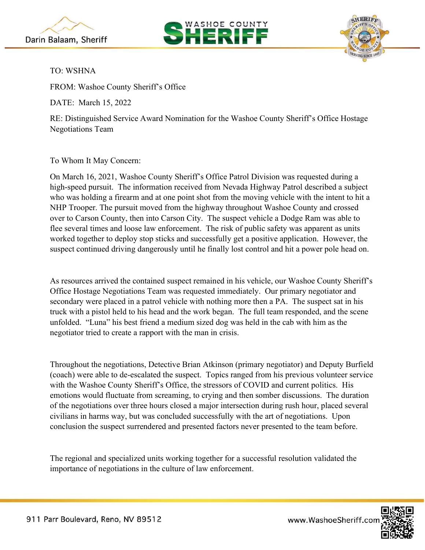





TO: WSHNA

FROM: Washoe County Sheriff's Office

DATE: March 15, 2022

RE: Distinguished Service Award Nomination for the Washoe County Sheriff's Office Hostage Negotiations Team

To Whom It May Concern:

On March 16, 2021, Washoe County Sheriff's Office Patrol Division was requested during a high-speed pursuit. The information received from Nevada Highway Patrol described a subject who was holding a firearm and at one point shot from the moving vehicle with the intent to hit a NHP Trooper. The pursuit moved from the highway throughout Washoe County and crossed over to Carson County, then into Carson City. The suspect vehicle a Dodge Ram was able to flee several times and loose law enforcement. The risk of public safety was apparent as units worked together to deploy stop sticks and successfully get a positive application. However, the suspect continued driving dangerously until he finally lost control and hit a power pole head on.

As resources arrived the contained suspect remained in his vehicle, our Washoe County Sheriff's Office Hostage Negotiations Team was requested immediately. Our primary negotiator and secondary were placed in a patrol vehicle with nothing more then a PA. The suspect sat in his truck with a pistol held to his head and the work began. The full team responded, and the scene unfolded. "Luna" his best friend a medium sized dog was held in the cab with him as the negotiator tried to create a rapport with the man in crisis.

Throughout the negotiations, Detective Brian Atkinson (primary negotiator) and Deputy Burfield (coach) were able to de-escalated the suspect. Topics ranged from his previous volunteer service with the Washoe County Sheriff's Office, the stressors of COVID and current politics. His emotions would fluctuate from screaming, to crying and then somber discussions. The duration of the negotiations over three hours closed a major intersection during rush hour, placed several civilians in harms way, but was concluded successfully with the art of negotiations. Upon conclusion the suspect surrendered and presented factors never presented to the team before.

The regional and specialized units working together for a successful resolution validated the importance of negotiations in the culture of law enforcement.



www.WashoeSheriff.cor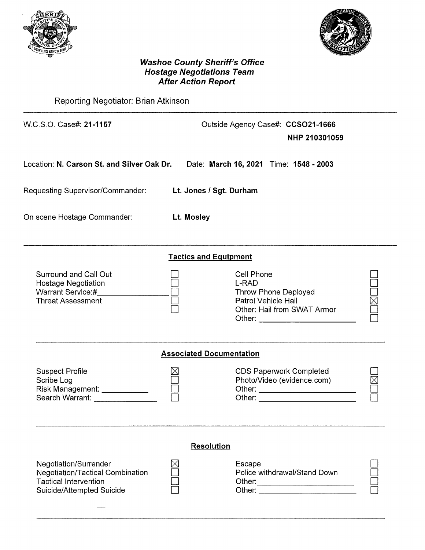



# **Washoe County Sheriff's Office<br>Hostage Negotiations Team<br>After Action Report**

Reporting Negotiator: Brian Atkinson

| W.C.S.O. Case#: 21-1157                                                                                                       |                                 | Outside Agency Case#: CCSO21-1666<br>NHP 210301059                                                |  |  |  |
|-------------------------------------------------------------------------------------------------------------------------------|---------------------------------|---------------------------------------------------------------------------------------------------|--|--|--|
| Location: N. Carson St. and Silver Oak Dr.                                                                                    |                                 | Date: March 16, 2021 Time: 1548 - 2003                                                            |  |  |  |
| Requesting Supervisor/Commander:                                                                                              | Lt. Jones / Sgt. Durham         |                                                                                                   |  |  |  |
| On scene Hostage Commander:                                                                                                   | <b>Lt. Mosley</b>               |                                                                                                   |  |  |  |
|                                                                                                                               | <b>Tactics and Equipment</b>    |                                                                                                   |  |  |  |
| Surround and Call Out<br><b>Hostage Negotiation</b><br>Warrant Service:#<br><b>Threat Assessment</b>                          |                                 | Cell Phone<br>L-RAD<br>Throw Phone Deployed<br>Patrol Vehicle Hail<br>Other: Hail from SWAT Armor |  |  |  |
|                                                                                                                               | <b>Associated Documentation</b> |                                                                                                   |  |  |  |
| <b>Suspect Profile</b><br>Scribe Log<br>Risk Management: ____________<br>Search Warrant: <b>Search Warrant:</b>               |                                 | <b>CDS Paperwork Completed</b><br>Photo/Video (evidence.com)<br>Other: __________________________ |  |  |  |
|                                                                                                                               | <b>Resolution</b>               |                                                                                                   |  |  |  |
| Negotiation/Surrender<br><b>Negotiation/Tactical Combination</b><br><b>Tactical Intervention</b><br>Suicide/Attempted Suicide |                                 | Escape<br>Police withdrawal/Stand Down                                                            |  |  |  |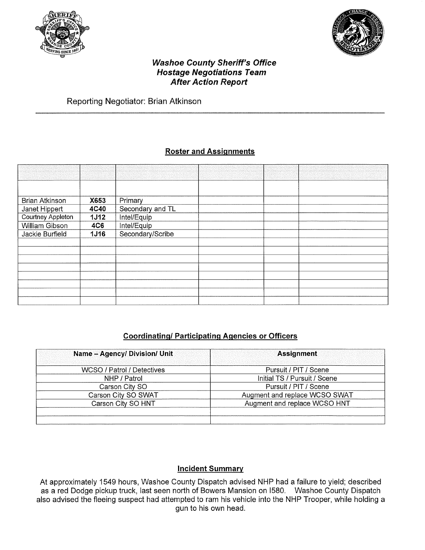



#### **Washoe County Sheriff's Office Hostage Negotiations Team After Action Report**

## Reporting Negotiator: Brian Atkinson

## **Roster and Assignments**

| <b>Brian Atkinson</b>    | X653        | Primary          |  |  |
|--------------------------|-------------|------------------|--|--|
| Janet Hippert            | <b>4C40</b> | Secondary and TL |  |  |
| <b>Courtney Appleton</b> | <b>1J12</b> | Intel/Equip      |  |  |
| William Gibson           | <b>4C6</b>  | Intel/Equip      |  |  |
| Jackie Burfield          | <b>1J16</b> | Secondary/Scribe |  |  |
|                          |             |                  |  |  |
|                          |             |                  |  |  |
|                          |             |                  |  |  |
|                          |             |                  |  |  |
|                          |             |                  |  |  |
|                          |             |                  |  |  |
|                          |             |                  |  |  |
|                          |             |                  |  |  |

#### **Coordinating/Participating Agencies or Officers**

| Name - Agency/ Division/ Unit | <b>Assignment</b>             |  |  |
|-------------------------------|-------------------------------|--|--|
| WCSO / Patrol / Detectives    | Pursuit / PIT / Scene         |  |  |
| NHP / Patrol                  | Initial TS / Pursuit / Scene  |  |  |
| Carson City SO                | Pursuit / PIT / Scene         |  |  |
| Carson City SO SWAT           | Augment and replace WCSO SWAT |  |  |
| Carson City SO HNT            | Augment and replace WCSO HNT  |  |  |
|                               |                               |  |  |
|                               |                               |  |  |

#### **Incident Summary**

At approximately 1549 hours, Washoe County Dispatch advised NHP had a failure to yield; described as a red Dodge pickup truck, last seen north of Bowers Mansion on 1580. Washoe County Dispatch also advised the fleeing suspect had attempted to ram his vehicle into the NHP Trooper, while holding a gun to his own head.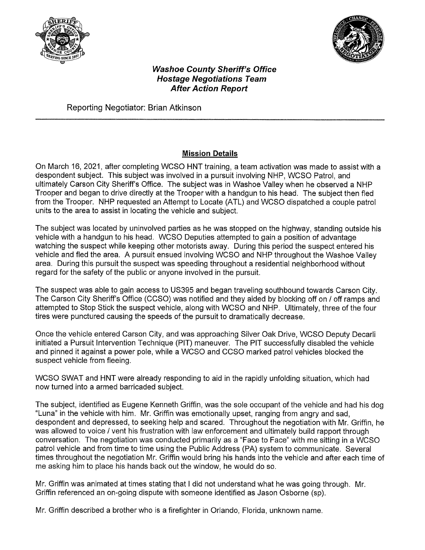



#### **Washoe County Sheriff's Office Hostage Negotiations Team After Action Report**

Reporting Negotiator: Brian Atkinson

# **Mission Details**

On March 16, 2021, after completing WCSO HNT training, a team activation was made to assist with a despondent subject. This subject was involved in a pursuit involving NHP, WCSO Patrol, and ultimately Carson City Sheriff's Office. The subject was in Washoe Valley when he observed a NHP Trooper and began to drive directly at the Trooper with a handgun to his head. The subject then fled from the Trooper. NHP requested an Attempt to Locate (ATL) and WCSO dispatched a couple patrol units to the area to assist in locating the vehicle and subject.

The subject was located by uninvolved parties as he was stopped on the highway, standing outside his vehicle with a handgun to his head. WCSO Deputies attempted to gain a position of advantage watching the suspect while keeping other motorists away. During this period the suspect entered his vehicle and fled the area. A pursuit ensued involving WCSO and NHP throughout the Washoe Valley area. During this pursuit the suspect was speeding throughout a residential neighborhood without regard for the safety of the public or anyone involved in the pursuit.

The suspect was able to gain access to US395 and began traveling southbound towards Carson City. The Carson City Sheriff's Office (CCSO) was notified and they aided by blocking off on / off ramps and attempted to Stop Stick the suspect vehicle, along with WCSO and NHP. Ultimately, three of the four tires were punctured causing the speeds of the pursuit to dramatically decrease.

Once the vehicle entered Carson City, and was approaching Silver Oak Drive, WCSO Deputy Decarli initiated a Pursuit Intervention Technique (PIT) maneuver. The PIT successfully disabled the vehicle and pinned it against a power pole, while a WCSO and CCSO marked patrol vehicles blocked the suspect vehicle from fleeing.

WCSO SWAT and HNT were already responding to aid in the rapidly unfolding situation, which had now turned into a armed barricaded subject.

The subject, identified as Eugene Kenneth Griffin, was the sole occupant of the vehicle and had his dog "Luna" in the vehicle with him. Mr. Griffin was emotionally upset, ranging from angry and sad, despondent and depressed, to seeking help and scared. Throughout the negotiation with Mr. Griffin, he was allowed to voice / vent his frustration with law enforcement and ultimately build rapport through conversation. The negotiation was conducted primarily as a "Face to Face" with me sitting in a WCSO patrol vehicle and from time to time using the Public Address (PA) system to communicate. Several times throughout the negotiation Mr. Griffin would bring his hands into the vehicle and after each time of me asking him to place his hands back out the window, he would do so.

Mr. Griffin was animated at times stating that I did not understand what he was going through. Mr. Griffin referenced an on-going dispute with someone identified as Jason Osborne (sp).

Mr. Griffin described a brother who is a firefighter in Orlando, Florida, unknown name.